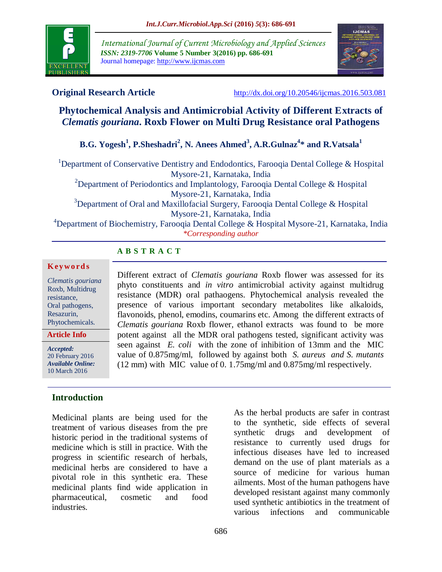

*International Journal of Current Microbiology and Applied Sciences ISSN: 2319-7706* **Volume 5 Number 3(2016) pp. 686-691** Journal homepage: http://www.ijcmas.com



**Original Research Article** <http://dx.doi.org/10.20546/ijcmas.2016.503.081>

# **Phytochemical Analysis and Antimicrobial Activity of Different Extracts of**  *Clematis gouriana***. Roxb Flower on Multi Drug Resistance oral Pathogens**

# **B.G. Yogesh<sup>1</sup> , P.Sheshadri<sup>2</sup> , N. Anees Ahmed<sup>3</sup> , A.R.Gulnaz<sup>4</sup> \* and R.Vatsala<sup>1</sup>**

<sup>1</sup>Department of Conservative Dentistry and Endodontics, Farooqia Dental College & Hospital Mysore-21, Karnataka, India <sup>2</sup>Department of Periodontics and Implantology, Farooqia Dental College & Hospital Mysore-21, Karnataka, India <sup>3</sup>Department of Oral and Maxillofacial Surgery, Farooqia Dental College & Hospital Mysore-21, Karnataka, India

<sup>4</sup>Department of Biochemistry, Farooqia Dental College & Hospital Mysore-21, Karnataka, India *\*Corresponding author*

## **A B S T R A C T**

#### **K ey w o rd s**

*Clematis gouriana*  Roxb, Multidrug resistance, Oral pathogens, Resazurin, Phytochemicals.

**Article Info**

*Accepted:*  20 February 2016 *Available Online:* 10 March 2016

## **Introduction**

Medicinal plants are being used for the treatment of various diseases from the pre historic period in the traditional systems of medicine which is still in practice. With the progress in scientific research of herbals, medicinal herbs are considered to have a pivotal role in this synthetic era. These medicinal plants find wide application in pharmaceutical, cosmetic and food industries.

Different extract of *Clematis gouriana* Roxb flower was assessed for its phyto constituents and *in vitro* antimicrobial activity against multidrug resistance (MDR) oral pathaogens. Phytochemical analysis revealed the presence of various important secondary metabolites like alkaloids, flavonoids, phenol, emodins, coumarins etc. Among the different extracts of *Clematis gouriana* Roxb flower*,* ethanol extracts was found to be more potent against all the MDR oral pathogens tested, significant activity was seen against *E. coli* with the zone of inhibition of 13mm and the MIC value of 0.875mg/ml, followed by against both *S. aureus and S. mutants*  (12 mm) with MIC value of 0. 1.75mg/ml and 0.875mg/ml respectively.

> As the herbal products are safer in contrast to the synthetic, side effects of several synthetic drugs and development of resistance to currently used drugs for infectious diseases have led to increased demand on the use of plant materials as a source of medicine for various human ailments. Most of the human pathogens have developed resistant against many commonly used synthetic antibiotics in the treatment of various infections and communicable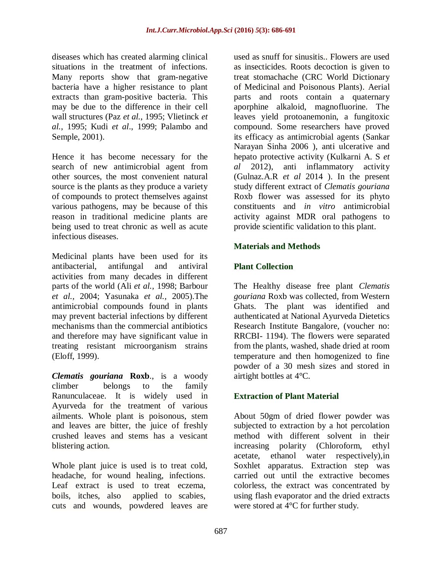diseases which has created alarming clinical situations in the treatment of infections. Many reports show that gram-negative bacteria have a higher resistance to plant extracts than gram-positive bacteria. This may be due to the difference in their cell wall structures (Paz *et al.*, 1995; Vlietinck *et al.*, 1995; Kudi *et al*., 1999; Palambo and Semple, 2001).

Hence it has become necessary for the search of new antimicrobial agent from other sources, the most convenient natural source is the plants as they produce a variety of compounds to protect themselves against various pathogens, may be because of this reason in traditional medicine plants are being used to treat chronic as well as acute infectious diseases.

Medicinal plants have been used for its antibacterial, antifungal and antiviral activities from many decades in different parts of the world (Ali *et al.,* 1998; Barbour *et al.,* 2004; Yasunaka *et al.,* 2005).The antimicrobial compounds found in plants may prevent bacterial infections by different mechanisms than the commercial antibiotics and therefore may have significant value in treating resistant microorganism strains (Eloff, 1999).

*Clematis gouriana* **Roxb**., is a woody climber belongs to the family Ranunculaceae. It is widely used in Ayurveda for the treatment of various ailments. Whole plant is poisonous, stem and leaves are bitter, the juice of freshly crushed leaves and stems has a vesicant blistering action.

Whole plant juice is used is to treat cold, headache, for wound healing, infections. Leaf extract is used to treat eczema, boils, itches, also applied to scabies, cuts and wounds, powdered leaves are used as snuff for sinusitis.. Flowers are used as insecticides. Roots decoction is given to treat stomachache (CRC World Dictionary of Medicinal and Poisonous Plants). Aerial parts and roots contain a quaternary aporphine alkaloid, magnofluorine. The leaves yield protoanemonin, a fungitoxic compound. Some researchers have proved its efficacy as antimicrobial agents (Sankar Narayan Sinha 2006 ), anti ulcerative and hepato protective activity (Kulkarni A. S *et al* 2012), anti inflammatory activity (Gulnaz.A.R *et al* 2014 ). In the present study different extract of *Clematis gouriana*  Roxb flower was assessed for its phyto constituents and *in vitro* antimicrobial activity against MDR oral pathogens to provide scientific validation to this plant.

## **Materials and Methods**

# **Plant Collection**

The Healthy disease free plant *Clematis gouriana* Roxb was collected, from Western Ghats. The plant was identified and authenticated at National Ayurveda Dietetics Research Institute Bangalore, (voucher no: RRCBI- 1194). The flowers were separated from the plants, washed, shade dried at room temperature and then homogenized to fine powder of a 30 mesh sizes and stored in airtight bottles at 4°C.

## **Extraction of Plant Material**

About 50gm of dried flower powder was subjected to extraction by a hot percolation method with different solvent in their increasing polarity (Chloroform, ethyl acetate, ethanol water respectively),in Soxhlet apparatus. Extraction step was carried out until the extractive becomes colorless, the extract was concentrated by using flash evaporator and the dried extracts were stored at  $\overline{4}^{\circ}$ C for further study.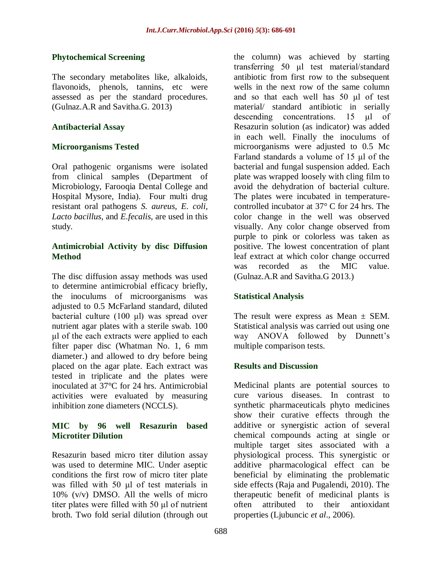## **Phytochemical Screening**

The secondary metabolites like, alkaloids, flavonoids, phenols, tannins, etc were assessed as per the standard procedures. (Gulnaz.A.R and Savitha.G. 2013)

## **Antibacterial Assay**

## **Microorganisms Tested**

Oral pathogenic organisms were isolated from clinical samples (Department of Microbiology, Farooqia Dental College and Hospital Mysore, India). Four multi drug resistant oral pathogens *S. aureus, E. coli, Lacto bacillus,* and *E.fecalis,* are used in this study.

## **Antimicrobial Activity by disc Diffusion Method**

The disc diffusion assay methods was used to determine antimicrobial efficacy briefly, the inoculums of microorganisms was adjusted to 0.5 McFarland standard, diluted bacterial culture (100 μl) was spread over nutrient agar plates with a sterile swab. 100 μl of the each extracts were applied to each filter paper disc (Whatman No. 1, 6 mm diameter.) and allowed to dry before being placed on the agar plate. Each extract was tested in triplicate and the plates were inoculated at 37°C for 24 hrs. Antimicrobial activities were evaluated by measuring inhibition zone diameters (NCCLS).

## **MIC by 96 well Resazurin based Microtiter Dilution**

Resazurin based micro titer dilution assay was used to determine MIC. Under aseptic conditions the first row of micro titer plate was filled with 50 μl of test materials in 10% (v/v) DMSO. All the wells of micro titer plates were filled with 50 μl of nutrient broth. Two fold serial dilution (through out

the column) was achieved by starting transferring 50 μl test material/standard antibiotic from first row to the subsequent wells in the next row of the same column and so that each well has 50 μl of test material/ standard antibiotic in serially descending concentrations. 15 μl of Resazurin solution (as indicator) was added in each well. Finally the inoculums of microorganisms were adjusted to 0.5 Mc Farland standards a volume of 15 μl of the bacterial and fungal suspension added. Each plate was wrapped loosely with cling film to avoid the dehydration of bacterial culture. The plates were incubated in temperaturecontrolled incubator at 37° C for 24 hrs. The color change in the well was observed visually. Any color change observed from purple to pink or colorless was taken as positive. The lowest concentration of plant leaf extract at which color change occurred was recorded as the MIC value. (Gulnaz.A.R and Savitha.G 2013.)

## **Statistical Analysis**

The result were express as Mean  $\pm$  SEM. Statistical analysis was carried out using one way ANOVA followed by Dunnett's multiple comparison tests.

## **Results and Discussion**

Medicinal plants are potential sources to cure various diseases. In contrast to synthetic pharmaceuticals phyto medicines show their curative effects through the additive or synergistic action of several chemical compounds acting at single or multiple target sites associated with a physiological process. This synergistic or additive pharmacological effect can be beneficial by eliminating the problematic side effects (Raja and Pugalendi, 2010). The therapeutic benefit of medicinal plants is often attributed to their antioxidant properties (Ljubuncic *et al*., 2006).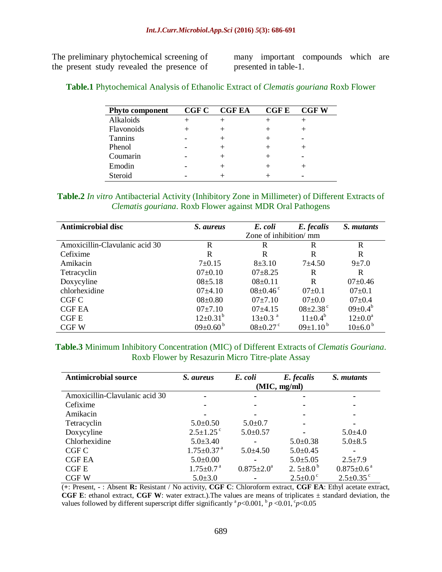The preliminary phytochemical screening of the present study revealed the presence of

many important compounds which are presented in table-1.

#### **Table.1** Phytochemical Analysis of Ethanolic Extract of *Clematis gouriana* Roxb Flower

| <b>Phyto component</b> | <b>CGF C</b> | <b>CGF EA</b> | <b>CGFE</b> | <b>CGFW</b> |
|------------------------|--------------|---------------|-------------|-------------|
| Alkaloids              |              |               |             |             |
| Flavonoids             |              |               |             |             |
| <b>Tannins</b>         |              |               |             |             |
| Phenol                 |              |               |             |             |
| Coumarin               |              |               |             |             |
| Emodin                 |              |               |             |             |
| Steroid                |              |               |             |             |

#### **Table.2** *In vitro* Antibacterial Activity (Inhibitory Zone in Millimeter) of Different Extracts of *Clematis gouriana*. Roxb Flower against MDR Oral Pathogens

| <b>Antimicrobial disc</b>      | <i>S. aureus</i>           | E. coli                    | E. fecalis                 | S. <i>mutants</i>       |  |
|--------------------------------|----------------------------|----------------------------|----------------------------|-------------------------|--|
|                                | Zone of inhibition/ mm     |                            |                            |                         |  |
| Amoxicillin-Clavulanic acid 30 | R                          | R                          | R                          | R                       |  |
| Cefixime                       | R                          | R                          | R                          | R                       |  |
| Amikacin                       | $7 \pm 0.15$               | $8 + 3.10$                 | $7 + 4.50$                 | $9 + 7.0$               |  |
| Tetracyclin                    | $07 \pm 0.10$              | $07\pm8.25$                | R                          | R                       |  |
| Doxycyline                     | $08 \pm 5.18$              | $08 \pm 0.11$              | R                          | $07\pm0.46$             |  |
| chlorhexidine                  | $07\pm4.10$                | $08 \pm 0.46$ <sup>c</sup> | $07 \pm 0.1$               | $07 \pm 0.1$            |  |
| CGF C                          | $08 \pm 0.80$              | $07\pm7.10$                | $07+0.0$                   | $07 \pm 0.4$            |  |
| <b>CGF EA</b>                  | 07±7.10                    | $07+4.15$                  | $08 \pm 2.38$ <sup>c</sup> | $09 \pm 0.4^b$          |  |
| <b>CGFE</b>                    | $12\pm0.31^{\rm b}$        | $13 \pm 0.3$ <sup>a</sup>  | $11 \pm 0.4^b$             | $12{\pm}0.0^a$          |  |
| <b>CGFW</b>                    | $09 \pm 0.60^{\mathrm{b}}$ | $08 \pm 0.27$ <sup>c</sup> | $09\pm1.10^{\mathrm{b}}$   | $10\pm6.0^{\mathrm{b}}$ |  |

#### **Table.3** Minimum Inhibitory Concentration (MIC) of Different Extracts of *Clematis Gouriana*. Roxb Flower by Resazurin Micro Titre-plate Assay

| <b>Antimicrobial source</b>    | S. aureus                    | E. coli                 | E. fecalis            | S. <i>mutants</i>           |  |  |
|--------------------------------|------------------------------|-------------------------|-----------------------|-----------------------------|--|--|
|                                | (MIC, mg/ml)                 |                         |                       |                             |  |  |
| Amoxicillin-Clavulanic acid 30 | ۰                            |                         |                       |                             |  |  |
| Cefixime                       |                              |                         |                       |                             |  |  |
| Amikacin                       |                              |                         |                       |                             |  |  |
| Tetracyclin                    | $5.0 \pm 0.50$               | $5.0 \pm 0.7$           |                       |                             |  |  |
| Doxycyline                     | $2.5 \pm 1.25$ <sup>c</sup>  | $5.0 \pm 0.57$          |                       | $5.0 \pm 4.0$               |  |  |
| Chlorhexidine                  | $5.0 \pm 3.40$               |                         | $5.0 \pm 0.38$        | $5.0 \pm 8.5$               |  |  |
| CGF C                          | $1.75 \pm 0.37$ <sup>a</sup> | $5.0 + 4.50$            | $5.0 \pm 0.45$        |                             |  |  |
| <b>CGF EA</b>                  | $5.0 \pm 0.00$               |                         | $5.0 \pm 5.05$        | $2.5 \pm 7.9$               |  |  |
| CGF E                          | $1.75 \pm 0.7$ <sup>a</sup>  | $0.875 \pm 2.0^{\circ}$ | 2. $5\pm8.0^{\circ}$  | $0.875 \pm 0.6^{\text{a}}$  |  |  |
| CGF W                          | $5.0 \pm 3.0$                |                         | $2.5 \pm 0.0^{\circ}$ | $2.5 \pm 0.35$ <sup>c</sup> |  |  |

(**+**: Present, **-** : Absent **R:** Resistant / No activity, **CGF C**: Chloroform extract, **CGF EA**: Ethyl acetate extract, **CGF E**: ethanol extract, **CGF W**: water extract.).The values are means of triplicates ± standard deviation, the values followed by different superscript differ significantly  ${}^a p$ <0.001,  ${}^b p$  <0.01,  ${}^c p$ <0.05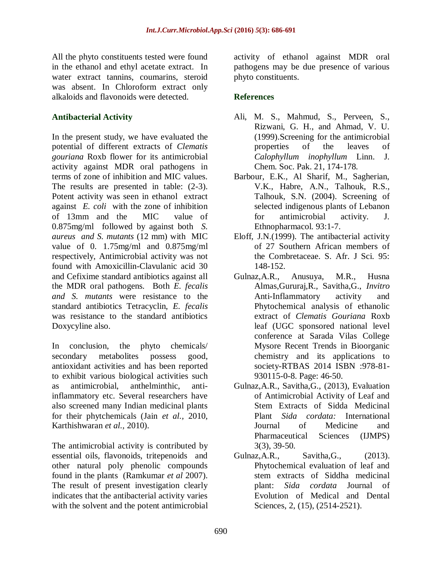All the phyto constituents tested were found in the ethanol and ethyl acetate extract. In water extract tannins, coumarins, steroid was absent. In Chloroform extract only alkaloids and flavonoids were detected.

## **Antibacterial Activity**

In the present study, we have evaluated the potential of different extracts of *Clematis gouriana* Roxb flower for its antimicrobial activity against MDR oral pathogens in terms of zone of inhibition and MIC values. The results are presented in table:  $(2-3)$ . Potent activity was seen in ethanol extract against *E. coli* with the zone of inhibition of 13mm and the MIC value of 0.875mg/ml followed by against both *S. aureus and S. mutants* (12 mm) with MIC value of 0. 1.75mg/ml and 0.875mg/ml respectively, Antimicrobial activity was not found with Amoxicillin-Clavulanic acid 30 and Cefixime standard antibiotics against all the MDR oral pathogens. Both *E. fecalis and S. mutants* were resistance to the standard antibiotics Tetracyclin, *E. fecalis*  was resistance to the standard antibiotics Doxycyline also.

In conclusion, the phyto chemicals/ secondary metabolites possess good, antioxidant activities and has been reported to exhibit various biological activities such as antimicrobial, anthelminthic, antiinflammatory etc. Several researchers have also screened many Indian medicinal plants for their phytchemicals (Jain *et al.,* 2010, Karthishwaran *et al.,* 2010).

The antimicrobial activity is contributed by essential oils, flavonoids, tritepenoids and other natural poly phenolic compounds found in the plants (Ramkumar *et al* 2007). The result of present investigation clearly indicates that the antibacterial activity varies with the solvent and the potent antimicrobial activity of ethanol against MDR oral pathogens may be due presence of various phyto constituents.

## **References**

- Ali, M. S., Mahmud, S., Perveen, S., Rizwani, G. H., and Ahmad, V. U. (1999).Screening for the antimicrobial properties of the leaves of *Calophyllum inophyllum* Linn. J. Chem. Soc. Pak. 21, 174-178.
- Barbour, E.K., Al Sharif, M., Sagherian, V.K., Habre, A.N., Talhouk, R.S., Talhouk, S.N. (2004). Screening of selected indigenous plants of Lebanon for antimicrobial activity. J. Ethnopharmacol. 93:1-7.
- Eloff, J.N.(1999). The antibacterial activity of 27 Southern African members of the Combretaceae. S. Afr. J Sci. 95: 148-152.
- Gulnaz,A.R., Anusuya, M.R., Husna Almas,Gururaj,R., Savitha,G., *Invitro*  Anti-Inflammatory activity and Phytochemical analysis of ethanolic extract of *Clematis Gouriana* Roxb leaf (UGC sponsored national level conference at Sarada Vilas College Mysore Recent Trends in Bioorganic chemistry and its applications to society-RTBAS 2014 ISBN :978-81- 930115-0-8. Page: 46-50.
- Gulnaz,A.R., Savitha,G., (2013), Evaluation of Antimicrobial Activity of Leaf and Stem Extracts of Sidda Medicinal Plant *Sida cordata:* International Journal of Medicine and Pharmaceutical Sciences (IJMPS) 3(3), 39-50.
- Gulnaz,A.R., Savitha,G., (2013). Phytochemical evaluation of leaf and stem extracts of Siddha medicinal plant: *Sida cordata* Journal of Evolution of Medical and Dental Sciences, 2, (15), (2514-2521).